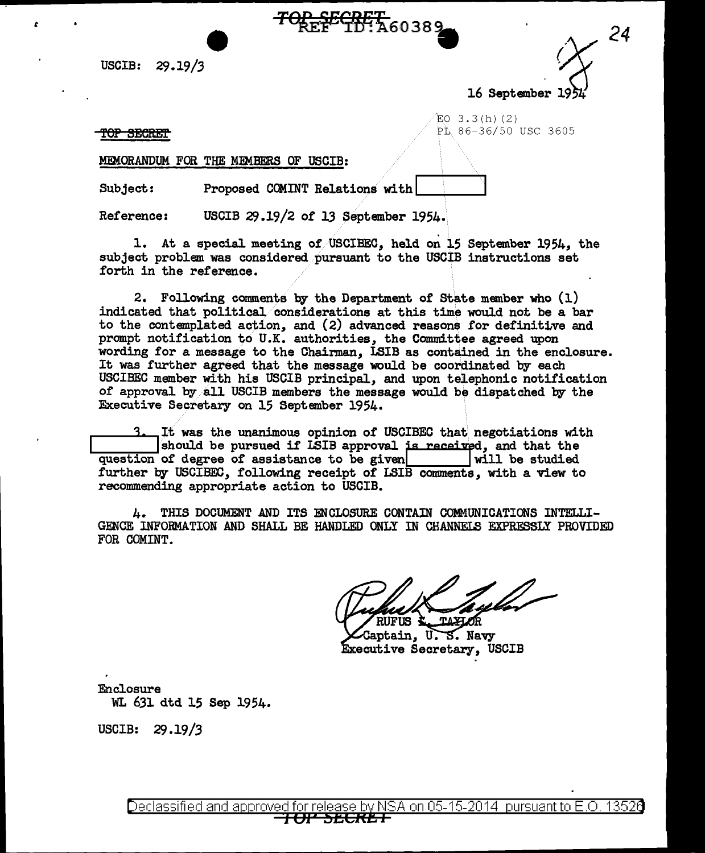USCIB: 29.19/3

16 September  $1954$ 

*24* 

 $EO$  3.3(h)(2) **TOP SECRET** 

*t* 

MEMORANDUM FOR THE MEMBERS OF USCIB:

Subject: Proposed COMINT Relations with

Reference: USCIB 29.19/2 of 13 September 1954.

1. At a special meeting of USCIBEC, held on 15 September 1954, the subject problem was considered.pursuant to the USCIB instructions set forth in the reference.

<del>OP\_SECRET\_</del><br>REF<sup>ECRET</sup>+ 460389

2. Following comments by the Department of State member who {l) indicated that political/considerations at this time would not be a bar to the contemplated action, and {2) advanced reasons for definittve and prompt notification to U.K. authorities, the Committee agreed upon wording for a message to the Chairman, ISIB as contained in the enclosure. It was further agreed that the message would be coordinated by each USCIBEC member with his USCIB principal, and upon telephonic notification of approval by all USCIB members the message would be dispatched by the Executive Secretary on 15 September 1954.

3. It was the unanimous opinion of USCIBEC that negotiations with<br>Should be pursued if LSIB approval is received, and that the<br>ion of degree of assistance to be given question of degree of assistance to be given further by USCIBEC, following receipt of LSIB comments, with a view to recommending appropriate action to USCIB.

4. THIS DOCUMENT AND ITS ENCLOSURE CONTAIN COMMUNICATIONS INTELLI-GENCE INFORMATION AND SHALL BE HANDLED ONLY IN CHANNELS EXPRESSLY PROVIDED FOR COMINT.

TAXIOR IIS 4

Captain, U.S. Navy Executive Secretary, USCIB

Enclosure WL 631 dtd 15 Sep 1954.

USCIB: 29.19/3